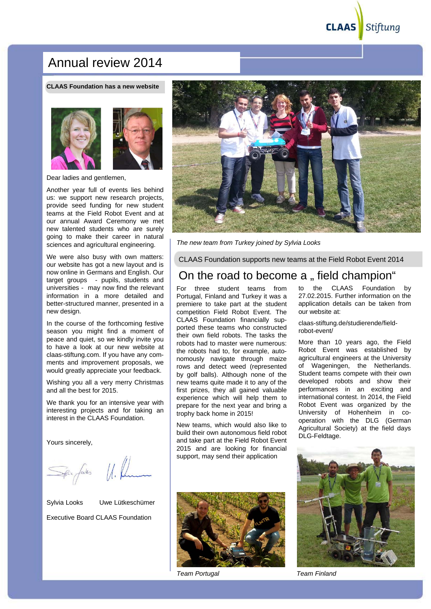# Annual review 2014

**CLAAS Foundation has a new website**



Dear ladies and gentlemen,

Another year full of events lies behind us: we support new research projects, provide seed funding for new student teams at the Field Robot Event and at our annual Award Ceremony we met new talented students who are surely going to make their career in natural sciences and agricultural engineering.

We were also busy with own matters: our website has got a new layout and is now online in Germans and English. Our target groups - pupils, students and universities - may now find the relevant information in a more detailed and better-structured manner, presented in a new design.

In the course of the forthcoming festive season you might find a moment of peace and quiet, so we kindly invite you to have a look at our new website at claas-stiftung.com. If you have any comments and improvement proposals, we would greatly appreciate your feedback.

Wishing you all a very merry Christmas and all the best for 2015.

We thank you for an intensive year with interesting projects and for taking an interest in the CLAAS Foundation.

Yours sincerely,

Spacefalls U. Rum

Sylvia Looks Uwe Lütkeschümer Executive Board CLAAS Foundation



*The new team from Turkey joined by Sylvia Looks*

CLAAS Foundation supports new teams at the Field Robot Event 2014

## On the road to become a " field champion"

For three student teams from Portugal, Finland and Turkey it was a premiere to take part at the student competition Field Robot Event. The CLAAS Foundation financially supported these teams who constructed their own field robots. The tasks the robots had to master were numerous: the robots had to, for example, autonomously navigate through maize rows and detect weed (represented by golf balls). Although none of the new teams quite made it to any of the first prizes, they all gained valuable experience which will help them to prepare for the next year and bring a trophy back home in 2015!

New teams, which would also like to build their own autonomous field robot and take part at the Field Robot Event 2015 and are looking for financial support, may send their application



*Team Portugal Team Finland*

to the CLAAS Foundation by 27.02.2015. Further information on the application details can be taken from our website at:

claas-stiftung.de/studierende/fieldrobot-event/

More than 10 years ago, the Field Robot Event was established by agricultural engineers at the University of Wageningen, the Netherlands. Student teams compete with their own developed robots and show their performances in an exciting and international contest. In 2014, the Field Robot Event was organized by the University of Hohenheim in cooperation with the DLG (German Agricultural Society) at the field days DLG-Feldtage.